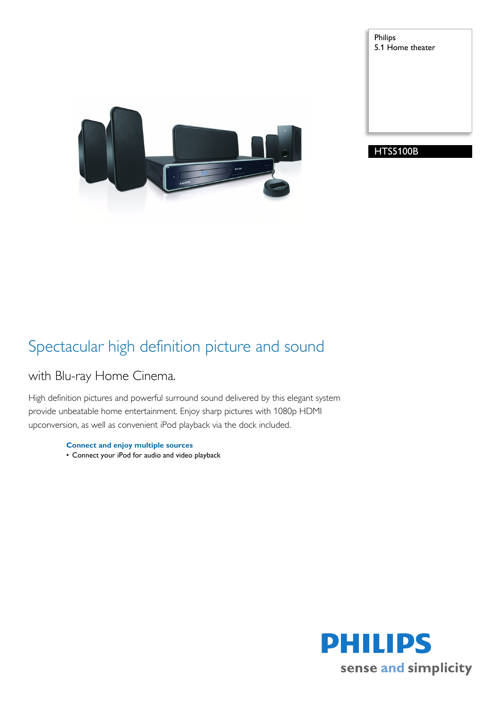Philips 5.1 Home theater





### Spectacular high definition picture and sound

### with Blu-ray Home Cinema.

High definition pictures and powerful surround sound delivered by this elegant system provide unbeatable home entertainment. Enjoy sharp pictures with 1080p HDMI upconversion, as well as convenient iPod playback via the dock included.

> **Connect and enjoy multiple sources** • Connect your iPod for audio and video playback